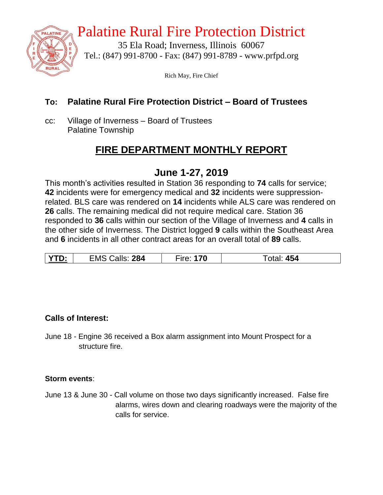

# Palatine Rural Fire Protection District

35 Ela Road; Inverness, Illinois 60067 Tel.: (847) 991-8700 - Fax: (847) 991-8789 - www.prfpd.org

Rich May, Fire Chief

### **To: Palatine Rural Fire Protection District – Board of Trustees**

cc: Village of Inverness – Board of Trustees Palatine Township

# **FIRE DEPARTMENT MONTHLY REPORT**

### **June 1-27, 2019**

This month's activities resulted in Station 36 responding to **74** calls for service; **42** incidents were for emergency medical and **32** incidents were suppressionrelated. BLS care was rendered on **14** incidents while ALS care was rendered on **26** calls. The remaining medical did not require medical care. Station 36 responded to **36** calls within our section of the Village of Inverness and **4** calls in the other side of Inverness. The District logged **9** calls within the Southeast Area and **6** incidents in all other contract areas for an overall total of **89** calls.

| VTN.<br>. | Calls: 284<br><b>EMS C</b> | 70<br>$rr\triangle$ | 454<br>otal: |
|-----------|----------------------------|---------------------|--------------|
|           |                            |                     |              |

### **Calls of Interest:**

June 18 - Engine 36 received a Box alarm assignment into Mount Prospect for a structure fire.

#### **Storm events**:

June 13 & June 30 - Call volume on those two days significantly increased. False fire alarms, wires down and clearing roadways were the majority of the calls for service.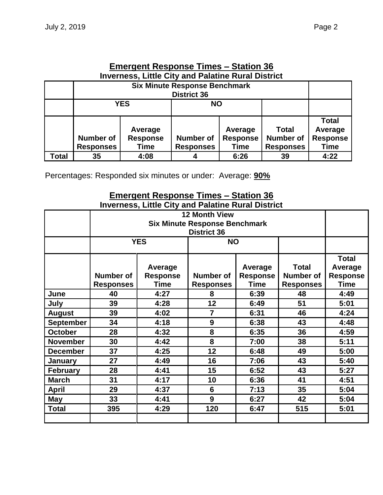| Page |  |
|------|--|
|------|--|

| Emergent Response Times – Station 36 |                                                                          |                 |                    |                 |                  |                 |  |  |  |
|--------------------------------------|--------------------------------------------------------------------------|-----------------|--------------------|-----------------|------------------|-----------------|--|--|--|
|                                      | <b>Inverness, Little City and Palatine Rural District</b>                |                 |                    |                 |                  |                 |  |  |  |
|                                      | <b>Six Minute Response Benchmark</b>                                     |                 |                    |                 |                  |                 |  |  |  |
|                                      |                                                                          |                 | <b>District 36</b> |                 |                  |                 |  |  |  |
|                                      | <b>YES</b><br><b>NO</b>                                                  |                 |                    |                 |                  |                 |  |  |  |
|                                      |                                                                          |                 |                    |                 |                  |                 |  |  |  |
|                                      |                                                                          |                 |                    |                 |                  | <b>Total</b>    |  |  |  |
|                                      | Average<br>Average                                                       |                 |                    |                 | <b>Total</b>     | Average         |  |  |  |
|                                      | <b>Number of</b>                                                         | <b>Response</b> | <b>Number of</b>   | <b>Response</b> | <b>Number of</b> | <b>Response</b> |  |  |  |
|                                      | <b>Responses</b><br><b>Responses</b><br><b>Responses</b><br>Time<br>Time |                 |                    |                 |                  |                 |  |  |  |
| Total                                | 35                                                                       | 4:08            |                    | 6:26            | 39               | 4:22            |  |  |  |

# **Emergent Response Times – Station 36**

Percentages: Responded six minutes or under: Average: **90%**

### **Emergent Response Times – Station 36 Inverness, Little City and Palatine Rural District**

|                  |                                      | <b>YES</b>                                | <b>NO</b>                     |                                    |                                                      |                                                           |
|------------------|--------------------------------------|-------------------------------------------|-------------------------------|------------------------------------|------------------------------------------------------|-----------------------------------------------------------|
|                  | <b>Number of</b><br><b>Responses</b> | Average<br><b>Response</b><br><b>Time</b> | Number of<br><b>Responses</b> | Average<br><b>Response</b><br>Time | <b>Total</b><br><b>Number of</b><br><b>Responses</b> | <b>Total</b><br>Average<br><b>Response</b><br><b>Time</b> |
| June             | 40                                   | 4:27                                      | 8                             | 6:39                               | 48                                                   | 4:49                                                      |
| July             | 39                                   | 4:28                                      | 12                            | 6:49                               | 51                                                   | 5:01                                                      |
| <b>August</b>    | 39                                   | 4:02                                      | $\overline{7}$                | 6:31                               | 46                                                   | 4:24                                                      |
| <b>September</b> | 34                                   | 4:18                                      | 9                             | 6:38                               | 43                                                   | 4:48                                                      |
| <b>October</b>   | 28                                   | 4:32                                      | 8                             | 6:35                               | 36                                                   | 4:59                                                      |
| <b>November</b>  | 30                                   | 4:42                                      | 8                             | 7:00                               | 38                                                   | 5:11                                                      |
| <b>December</b>  | 37                                   | 4:25                                      | 12                            | 6:48                               | 49                                                   | 5:00                                                      |
| <b>January</b>   | 27                                   | 4:49                                      | 16                            | 7:06                               | 43                                                   | 5:40                                                      |
| February         | 28                                   | 4:41                                      | 15                            | 6:52                               | 43                                                   | 5:27                                                      |
| <b>March</b>     | 31                                   | 4:17                                      | 10                            | 6:36                               | 41                                                   | 4:51                                                      |
| <b>April</b>     | 29                                   | 4:37                                      | $6\phantom{1}6$               | 7:13                               | 35                                                   | 5:04                                                      |
| May              | 33                                   | 4:41                                      | 9                             | 6:27                               | 42                                                   | 5:04                                                      |
| <b>Total</b>     | 395                                  | 4:29                                      | 120                           | 6:47                               | 515                                                  | 5:01                                                      |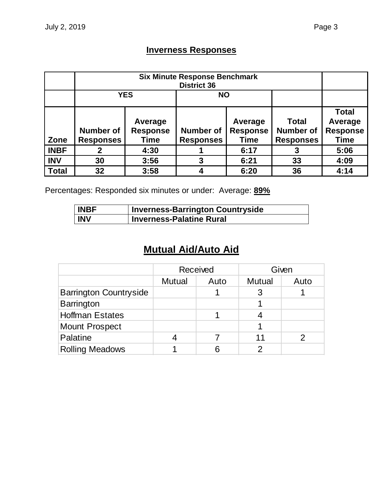### **Inverness Responses**

|              |                                                                            | <b>YES</b> | <b>NO</b>                            |                                           |                                                      |                                                           |
|--------------|----------------------------------------------------------------------------|------------|--------------------------------------|-------------------------------------------|------------------------------------------------------|-----------------------------------------------------------|
| Zone         | Average<br><b>Response</b><br><b>Number of</b><br><b>Responses</b><br>Time |            | <b>Number of</b><br><b>Responses</b> | Average<br><b>Response</b><br><b>Time</b> | <b>Total</b><br><b>Number of</b><br><b>Responses</b> | <b>Total</b><br>Average<br><b>Response</b><br><b>Time</b> |
| <b>INBF</b>  |                                                                            | 4:30       |                                      | 6:17                                      | 3                                                    | 5:06                                                      |
| <b>INV</b>   | 30                                                                         | 3:56       | 3                                    | 6:21                                      | 33                                                   | 4:09                                                      |
| <b>Total</b> | 32                                                                         | 3:58       |                                      | 6:20                                      | 36                                                   | 4:14                                                      |

Percentages: Responded six minutes or under: Average: **89%**

| <b>INBF</b> | <b>Inverness-Barrington Countryside</b> |
|-------------|-----------------------------------------|
| <b>INV</b>  | <b>Inverness-Palatine Rural</b>         |

# **Mutual Aid/Auto Aid**

|                               |               | Received |               | Given |
|-------------------------------|---------------|----------|---------------|-------|
|                               | <b>Mutual</b> | Auto     | <b>Mutual</b> | Auto  |
| <b>Barrington Countryside</b> |               |          |               |       |
| Barrington                    |               |          |               |       |
| <b>Hoffman Estates</b>        |               |          |               |       |
| <b>Mount Prospect</b>         |               |          |               |       |
| Palatine                      |               |          | 11            |       |
| <b>Rolling Meadows</b>        |               |          |               |       |